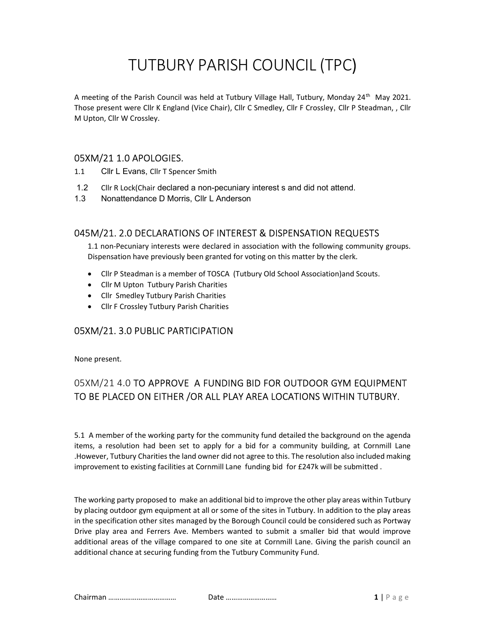# TUTBURY PARISH COUNCIL (TPC)

A meeting of the Parish Council was held at Tutbury Village Hall, Tutbury, Monday 24<sup>th</sup> May 2021. Those present were Cllr K England (Vice Chair), Cllr C Smedley, Cllr F Crossley, Cllr P Steadman, , Cllr M Upton, Cllr W Crossley.

## 05XM/21 1.0 APOLOGIES.

- 1.1 Cllr L Evans, Cllr T Spencer Smith
- 1.2 Cllr R Lock(Chair declared a non-pecuniary interest s and did not attend.
- 1.3 Nonattendance D Morris, Cllr L Anderson

### 045M/21. 2.0 DECLARATIONS OF INTEREST & DISPENSATION REQUESTS

1.1 non-Pecuniary interests were declared in association with the following community groups. Dispensation have previously been granted for voting on this matter by the clerk.

- Cllr P Steadman is a member of TOSCA (Tutbury Old School Association)and Scouts.
- Cllr M Upton Tutbury Parish Charities
- Cllr Smedley Tutbury Parish Charities
- Cllr F Crossley Tutbury Parish Charities

## 05XM/21. 3.0 PUBLIC PARTICIPATION

None present.

# 05XM/21 4.0 TO APPROVE A FUNDING BID FOR OUTDOOR GYM EQUIPMENT TO BE PLACED ON EITHER /OR ALL PLAY AREA LOCATIONS WITHIN TUTBURY.

5.1 A member of the working party for the community fund detailed the background on the agenda items, a resolution had been set to apply for a bid for a community building, at Cornmill Lane .However, Tutbury Charities the land owner did not agree to this. The resolution also included making improvement to existing facilities at Cornmill Lane funding bid for £247k will be submitted .

The working party proposed to make an additional bid to improve the other play areas within Tutbury by placing outdoor gym equipment at all or some of the sites in Tutbury. In addition to the play areas in the specification other sites managed by the Borough Council could be considered such as Portway Drive play area and Ferrers Ave. Members wanted to submit a smaller bid that would improve additional areas of the village compared to one site at Cornmill Lane. Giving the parish council an additional chance at securing funding from the Tutbury Community Fund.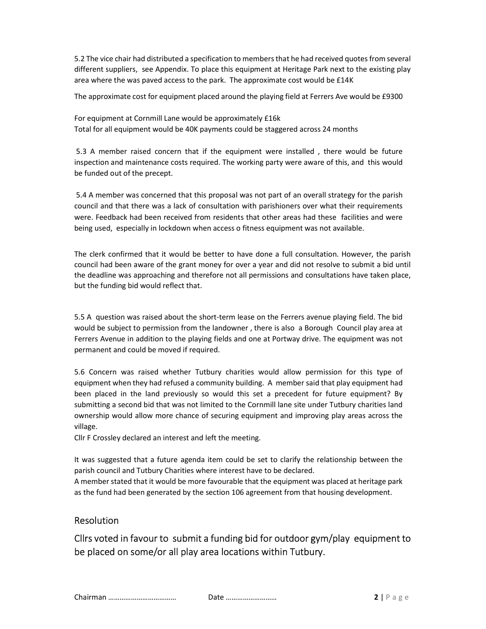5.2 The vice chair had distributed a specification to members that he had received quotes from several different suppliers, see Appendix. To place this equipment at Heritage Park next to the existing play area where the was paved access to the park. The approximate cost would be £14K

The approximate cost for equipment placed around the playing field at Ferrers Ave would be £9300

For equipment at Cornmill Lane would be approximately £16k Total for all equipment would be 40K payments could be staggered across 24 months

 5.3 A member raised concern that if the equipment were installed , there would be future inspection and maintenance costs required. The working party were aware of this, and this would be funded out of the precept.

 5.4 A member was concerned that this proposal was not part of an overall strategy for the parish council and that there was a lack of consultation with parishioners over what their requirements were. Feedback had been received from residents that other areas had these facilities and were being used, especially in lockdown when access o fitness equipment was not available.

The clerk confirmed that it would be better to have done a full consultation. However, the parish council had been aware of the grant money for over a year and did not resolve to submit a bid until the deadline was approaching and therefore not all permissions and consultations have taken place, but the funding bid would reflect that.

5.5 A question was raised about the short-term lease on the Ferrers avenue playing field. The bid would be subject to permission from the landowner , there is also a Borough Council play area at Ferrers Avenue in addition to the playing fields and one at Portway drive. The equipment was not permanent and could be moved if required.

5.6 Concern was raised whether Tutbury charities would allow permission for this type of equipment when they had refused a community building. A member said that play equipment had been placed in the land previously so would this set a precedent for future equipment? By submitting a second bid that was not limited to the Cornmill lane site under Tutbury charities land ownership would allow more chance of securing equipment and improving play areas across the village.

Cllr F Crossley declared an interest and left the meeting.

It was suggested that a future agenda item could be set to clarify the relationship between the parish council and Tutbury Charities where interest have to be declared.

A member stated that it would be more favourable that the equipment was placed at heritage park as the fund had been generated by the section 106 agreement from that housing development.

#### Resolution

Cllrs voted in favour to submit a funding bid for outdoor gym/play equipment to be placed on some/or all play area locations within Tutbury.

Chairman ……………………………… Date ……………………… 2 | P a g e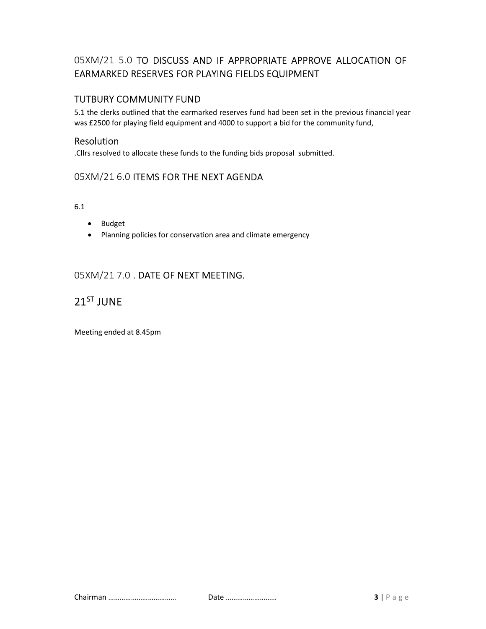## 05XM/21 5.0 TO DISCUSS AND IF APPROPRIATE APPROVE ALLOCATION OF EARMARKED RESERVES FOR PLAYING FIELDS EQUIPMENT

## TUTBURY COMMUNITY FUND

5.1 the clerks outlined that the earmarked reserves fund had been set in the previous financial year was £2500 for playing field equipment and 4000 to support a bid for the community fund,

#### Resolution

.Cllrs resolved to allocate these funds to the funding bids proposal submitted.

## 05XM/21 6.0 ITEMS FOR THE NEXT AGENDA

6.1

- Budget
- Planning policies for conservation area and climate emergency

## 05XM/21 7.0 . DATE OF NEXT MEETING.

# 21ST JUNE

Meeting ended at 8.45pm